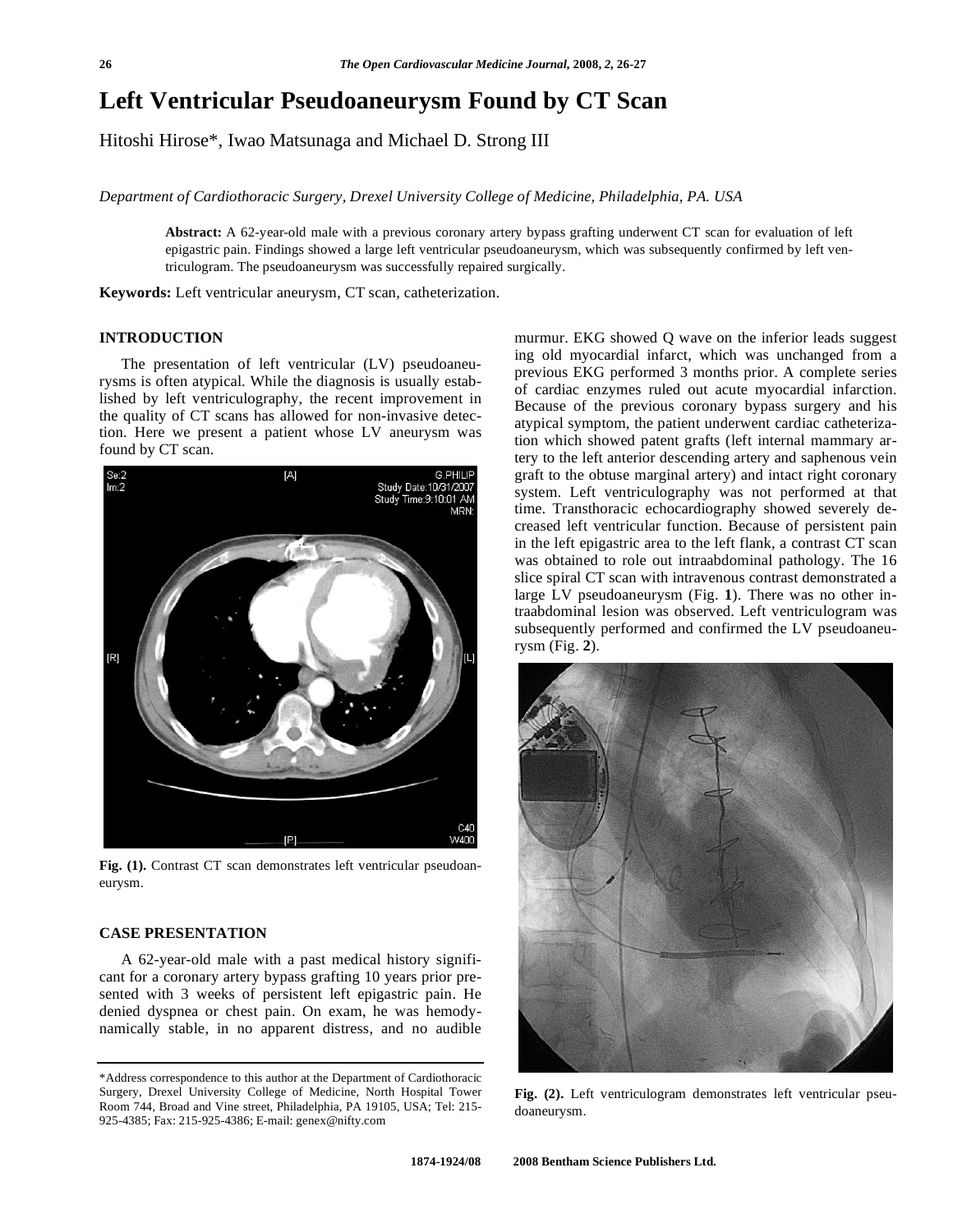# **Left Ventricular Pseudoaneurysm Found by CT Scan**

Hitoshi Hirose\*, Iwao Matsunaga and Michael D. Strong III

*Department of Cardiothoracic Surgery, Drexel University College of Medicine, Philadelphia, PA. USA* 

**Abstract:** A 62-year-old male with a previous coronary artery bypass grafting underwent CT scan for evaluation of left epigastric pain. Findings showed a large left ventricular pseudoaneurysm, which was subsequently confirmed by left ventriculogram. The pseudoaneurysm was successfully repaired surgically.

**Keywords:** Left ventricular aneurysm, CT scan, catheterization.

## **INTRODUCTION**

 The presentation of left ventricular (LV) pseudoaneurysms is often atypical. While the diagnosis is usually established by left ventriculography, the recent improvement in the quality of CT scans has allowed for non-invasive detection. Here we present a patient whose LV aneurysm was found by CT scan.



**Fig. (1).** Contrast CT scan demonstrates left ventricular pseudoaneurysm.

# **CASE PRESENTATION**

 A 62-year-old male with a past medical history significant for a coronary artery bypass grafting 10 years prior presented with 3 weeks of persistent left epigastric pain. He denied dyspnea or chest pain. On exam, he was hemodynamically stable, in no apparent distress, and no audible murmur. EKG showed Q wave on the inferior leads suggest ing old myocardial infarct, which was unchanged from a previous EKG performed 3 months prior. A complete series of cardiac enzymes ruled out acute myocardial infarction. Because of the previous coronary bypass surgery and his atypical symptom, the patient underwent cardiac catheterization which showed patent grafts (left internal mammary artery to the left anterior descending artery and saphenous vein graft to the obtuse marginal artery) and intact right coronary system. Left ventriculography was not performed at that time. Transthoracic echocardiography showed severely decreased left ventricular function. Because of persistent pain in the left epigastric area to the left flank, a contrast CT scan was obtained to role out intraabdominal pathology. The 16 slice spiral CT scan with intravenous contrast demonstrated a large LV pseudoaneurysm (Fig. **1**). There was no other intraabdominal lesion was observed. Left ventriculogram was subsequently performed and confirmed the LV pseudoaneurysm (Fig. **2**).



**Fig. (2).** Left ventriculogram demonstrates left ventricular pseudoaneurysm.

<sup>\*</sup>Address correspondence to this author at the Department of Cardiothoracic Surgery, Drexel University College of Medicine, North Hospital Tower Room 744, Broad and Vine street, Philadelphia, PA 19105, USA; Tel: 215- 925-4385; Fax: 215-925-4386; E-mail: genex@nifty.com